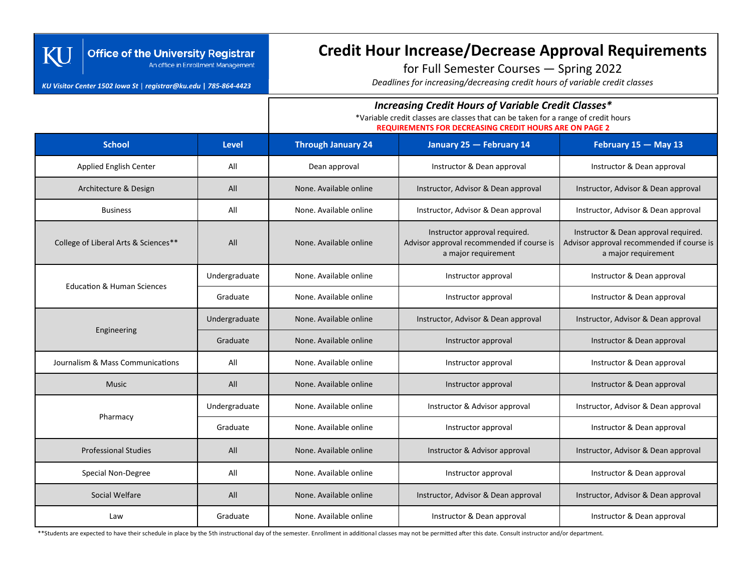### **Office of the University Registrar** An office in Enrollment Management

#### *KU Visitor Center 1502 Iowa St* | *registrar@ku.edu* **|** *785-864-4423*

Kl

# **Credit Hour Increase/Decrease Approval Requirements**

for Full Semester Courses — Spring 2022

*Deadlines for increasing/decreasing credit hours of variable credit classes*

## *Increasing Credit Hours of Variable Credit Classes\**

\*Variable credit classes are classes that can be taken for a range of credit hours

**REQUIREMENTS FOR DECREASING CREDIT HOURS ARE ON PAGE 2**

| <b>School</b>                         | <b>Level</b>  | <b>Through January 24</b>                   | January 25 - February 14                                                                          | February 15 - May 13                                                                                     |  |
|---------------------------------------|---------------|---------------------------------------------|---------------------------------------------------------------------------------------------------|----------------------------------------------------------------------------------------------------------|--|
| Applied English Center                | All           | Instructor & Dean approval<br>Dean approval |                                                                                                   | Instructor & Dean approval                                                                               |  |
| Architecture & Design                 | All           | None. Available online                      | Instructor, Advisor & Dean approval                                                               | Instructor, Advisor & Dean approval                                                                      |  |
| <b>Business</b>                       | All           | None. Available online                      | Instructor, Advisor & Dean approval                                                               | Instructor, Advisor & Dean approval                                                                      |  |
| College of Liberal Arts & Sciences**  | All           | None. Available online                      | Instructor approval required.<br>Advisor approval recommended if course is<br>a major requirement | Instructor & Dean approval required.<br>Advisor approval recommended if course is<br>a major requirement |  |
| <b>Education &amp; Human Sciences</b> | Undergraduate | None. Available online                      | Instructor approval                                                                               | Instructor & Dean approval                                                                               |  |
|                                       | Graduate      | None. Available online                      | Instructor approval                                                                               | Instructor & Dean approval                                                                               |  |
| Engineering                           | Undergraduate | None. Available online                      | Instructor, Advisor & Dean approval                                                               | Instructor, Advisor & Dean approval                                                                      |  |
|                                       | Graduate      | None. Available online                      | Instructor approval                                                                               | Instructor & Dean approval                                                                               |  |
| Journalism & Mass Communications      | All           | None. Available online                      | Instructor approval                                                                               | Instructor & Dean approval                                                                               |  |
| <b>Music</b>                          | All           | None. Available online                      | Instructor & Dean approval<br>Instructor approval                                                 |                                                                                                          |  |
| Pharmacy                              | Undergraduate | None. Available online                      | Instructor & Advisor approval                                                                     | Instructor, Advisor & Dean approval                                                                      |  |
|                                       | Graduate      | None. Available online                      | Instructor approval                                                                               | Instructor & Dean approval                                                                               |  |
| <b>Professional Studies</b>           | All           | None. Available online                      | Instructor & Advisor approval                                                                     | Instructor, Advisor & Dean approval                                                                      |  |
| Special Non-Degree                    | All           | None. Available online                      | Instructor approval                                                                               | Instructor & Dean approval                                                                               |  |
| Social Welfare                        | All           | None. Available online                      | Instructor, Advisor & Dean approval<br>Instructor, Advisor & Dean approval                        |                                                                                                          |  |
| Law                                   | Graduate      | None. Available online                      | Instructor & Dean approval                                                                        | Instructor & Dean approval                                                                               |  |

\*\*Students are expected to have their schedule in place by the 5th instructional day of the semester. Enrollment in additional classes may not be permitted after this date. Consult instructor and/or department.